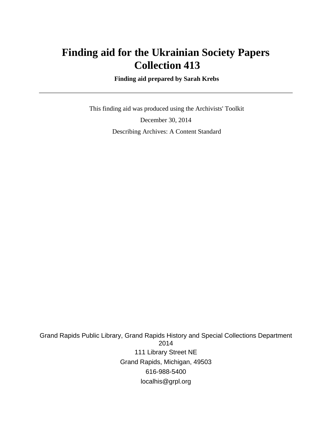# **Finding aid for the Ukrainian Society Papers Collection 413**

 **Finding aid prepared by Sarah Krebs**

 This finding aid was produced using the Archivists' Toolkit December 30, 2014 Describing Archives: A Content Standard

Grand Rapids Public Library, Grand Rapids History and Special Collections Department 2014 111 Library Street NE Grand Rapids, Michigan, 49503 616-988-5400 localhis@grpl.org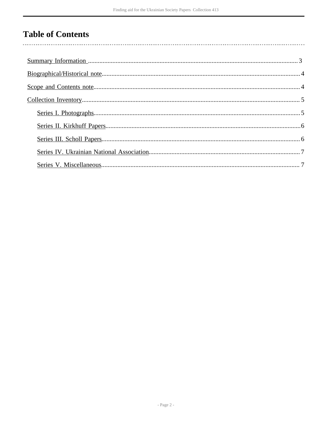# **Table of Contents**

 $\overline{\phantom{a}}$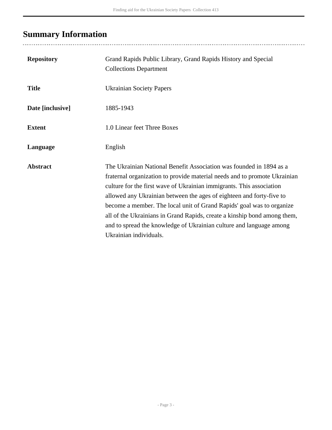# <span id="page-2-0"></span>**Summary Information**

| <b>Repository</b> | Grand Rapids Public Library, Grand Rapids History and Special<br><b>Collections Department</b>                                                                                                                                                                                                                                                                                                                                                                                                                                                         |
|-------------------|--------------------------------------------------------------------------------------------------------------------------------------------------------------------------------------------------------------------------------------------------------------------------------------------------------------------------------------------------------------------------------------------------------------------------------------------------------------------------------------------------------------------------------------------------------|
| <b>Title</b>      | <b>Ukrainian Society Papers</b>                                                                                                                                                                                                                                                                                                                                                                                                                                                                                                                        |
| Date [inclusive]  | 1885-1943                                                                                                                                                                                                                                                                                                                                                                                                                                                                                                                                              |
| <b>Extent</b>     | 1.0 Linear feet Three Boxes                                                                                                                                                                                                                                                                                                                                                                                                                                                                                                                            |
| Language          | English                                                                                                                                                                                                                                                                                                                                                                                                                                                                                                                                                |
| <b>Abstract</b>   | The Ukrainian National Benefit Association was founded in 1894 as a<br>fraternal organization to provide material needs and to promote Ukrainian<br>culture for the first wave of Ukrainian immigrants. This association<br>allowed any Ukrainian between the ages of eighteen and forty-five to<br>become a member. The local unit of Grand Rapids' goal was to organize<br>all of the Ukrainians in Grand Rapids, create a kinship bond among them,<br>and to spread the knowledge of Ukrainian culture and language among<br>Ukrainian individuals. |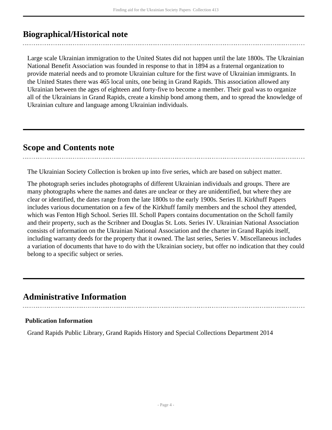# <span id="page-3-0"></span>**Biographical/Historical note**

Large scale Ukrainian immigration to the United States did not happen until the late 1800s. The Ukrainian National Benefit Association was founded in response to that in 1894 as a fraternal organization to provide material needs and to promote Ukrainian culture for the first wave of Ukrainian immigrants. In the United States there was 465 local units, one being in Grand Rapids. This association allowed any Ukrainian between the ages of eighteen and forty-five to become a member. Their goal was to organize all of the Ukrainians in Grand Rapids, create a kinship bond among them, and to spread the knowledge of Ukrainian culture and language among Ukrainian individuals.

## <span id="page-3-1"></span>**Scope and Contents note**

The Ukrainian Society Collection is broken up into five series, which are based on subject matter.

The photograph series includes photographs of different Ukrainian individuals and groups. There are many photographs where the names and dates are unclear or they are unidentified, but where they are clear or identified, the dates range from the late 1800s to the early 1900s. Series II. Kirkhuff Papers includes various documentation on a few of the Kirkhuff family members and the school they attended, which was Fenton High School. Series III. Scholl Papers contains documentation on the Scholl family and their property, such as the Scribner and Douglas St. Lots. Series IV. Ukrainian National Association consists of information on the Ukrainian National Association and the charter in Grand Rapids itself, including warranty deeds for the property that it owned. The last series, Series V. Miscellaneous includes a variation of documents that have to do with the Ukrainian society, but offer no indication that they could belong to a specific subject or series.

## **Administrative Information**

#### **Publication Information**

Grand Rapids Public Library, Grand Rapids History and Special Collections Department 2014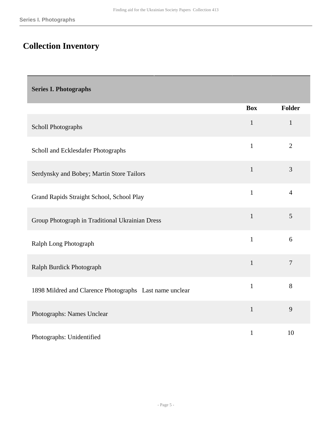# <span id="page-4-0"></span>**Collection Inventory**

### <span id="page-4-1"></span>**Series I. Photographs**

|                                                         | <b>Box</b>   | <b>Folder</b>  |
|---------------------------------------------------------|--------------|----------------|
| <b>Scholl Photographs</b>                               | $\mathbf{1}$ | $\mathbf{1}$   |
| Scholl and Ecklesdafer Photographs                      | $\mathbf{1}$ | $\overline{2}$ |
| Serdynsky and Bobey; Martin Store Tailors               | $\mathbf{1}$ | 3              |
| Grand Rapids Straight School, School Play               | $\mathbf{1}$ | $\overline{4}$ |
| Group Photograph in Traditional Ukrainian Dress         | $\mathbf{1}$ | 5              |
| Ralph Long Photograph                                   | $\mathbf{1}$ | 6              |
| Ralph Burdick Photograph                                | $\mathbf{1}$ | $\overline{7}$ |
| 1898 Mildred and Clarence Photographs Last name unclear | $\mathbf{1}$ | 8              |
| Photographs: Names Unclear                              | $\mathbf{1}$ | 9              |
| Photographs: Unidentified                               | $\mathbf{1}$ | 10             |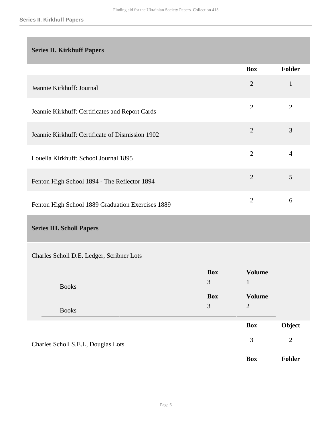### <span id="page-5-0"></span>**Series II. Kirkhuff Papers**

|                                                   | <b>Box</b>     | Folder         |
|---------------------------------------------------|----------------|----------------|
| Jeannie Kirkhuff: Journal                         | $\overline{2}$ | 1              |
| Jeannie Kirkhuff: Certificates and Report Cards   | $\overline{2}$ | $\overline{2}$ |
| Jeannie Kirkhuff: Certificate of Dismission 1902  | $\overline{2}$ | 3              |
| Louella Kirkhuff: School Journal 1895             | $\overline{2}$ | $\overline{4}$ |
| Fenton High School 1894 - The Reflector 1894      | $\overline{2}$ | 5              |
| Fenton High School 1889 Graduation Exercises 1889 | 2              | 6              |

## <span id="page-5-1"></span>**Series III. Scholl Papers**

### Charles Scholl D.E. Ledger, Scribner Lots

|                                    |              | <b>Box</b> | <b>Volume</b>  |                |
|------------------------------------|--------------|------------|----------------|----------------|
|                                    | <b>Books</b> | 3          |                |                |
|                                    |              | <b>Box</b> | <b>Volume</b>  |                |
|                                    | <b>Books</b> | 3          | $\overline{2}$ |                |
|                                    |              |            | <b>Box</b>     | Object         |
| Charles Scholl S.E.L, Douglas Lots |              |            | 3              | $\overline{2}$ |
|                                    |              |            | <b>Box</b>     | <b>Folder</b>  |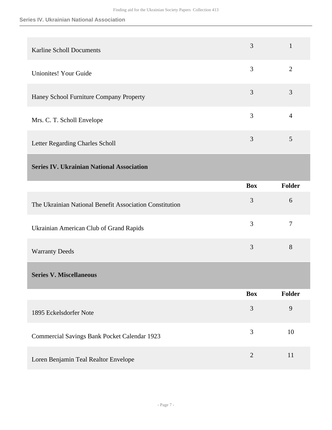#### **Series IV. Ukrainian National Association**

<span id="page-6-1"></span><span id="page-6-0"></span>

| <b>Karline Scholl Documents</b>                         | 3          | $\mathbf{1}$   |
|---------------------------------------------------------|------------|----------------|
| <b>Unionites! Your Guide</b>                            | 3          | $\overline{2}$ |
| Haney School Furniture Company Property                 | 3          | 3              |
| Mrs. C. T. Scholl Envelope                              | 3          | $\overline{4}$ |
| Letter Regarding Charles Scholl                         | 3          | 5              |
| <b>Series IV. Ukrainian National Association</b>        |            |                |
|                                                         | <b>Box</b> | Folder         |
| The Ukrainian National Benefit Association Constitution | 3          | 6              |
| Ukrainian American Club of Grand Rapids                 | 3          | $\overline{7}$ |
| <b>Warranty Deeds</b>                                   | 3          | 8              |
| <b>Series V. Miscellaneous</b>                          |            |                |
|                                                         | <b>Box</b> | Folder         |
| 1895 Eckelsdorfer Note                                  | 3          | 9              |
|                                                         |            |                |
| Commercial Savings Bank Pocket Calendar 1923            | 3          | 10             |